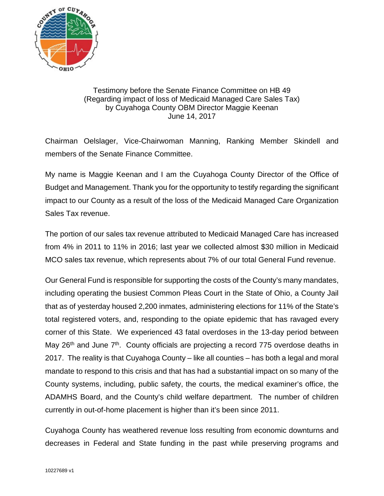

## Testimony before the Senate Finance Committee on HB 49 (Regarding impact of loss of Medicaid Managed Care Sales Tax) by Cuyahoga County OBM Director Maggie Keenan June 14, 2017

Chairman Oelslager, Vice-Chairwoman Manning, Ranking Member Skindell and members of the Senate Finance Committee.

My name is Maggie Keenan and I am the Cuyahoga County Director of the Office of Budget and Management. Thank you for the opportunity to testify regarding the significant impact to our County as a result of the loss of the Medicaid Managed Care Organization Sales Tax revenue.

The portion of our sales tax revenue attributed to Medicaid Managed Care has increased from 4% in 2011 to 11% in 2016; last year we collected almost \$30 million in Medicaid MCO sales tax revenue, which represents about 7% of our total General Fund revenue.

Our General Fund is responsible for supporting the costs of the County's many mandates, including operating the busiest Common Pleas Court in the State of Ohio, a County Jail that as of yesterday housed 2,200 inmates, administering elections for 11% of the State's total registered voters, and, responding to the opiate epidemic that has ravaged every corner of this State. We experienced 43 fatal overdoses in the 13-day period between May  $26<sup>th</sup>$  and June  $7<sup>th</sup>$ . County officials are projecting a record 775 overdose deaths in 2017. The reality is that Cuyahoga County – like all counties – has both a legal and moral mandate to respond to this crisis and that has had a substantial impact on so many of the County systems, including, public safety, the courts, the medical examiner's office, the ADAMHS Board, and the County's child welfare department. The number of children currently in out-of-home placement is higher than it's been since 2011.

Cuyahoga County has weathered revenue loss resulting from economic downturns and decreases in Federal and State funding in the past while preserving programs and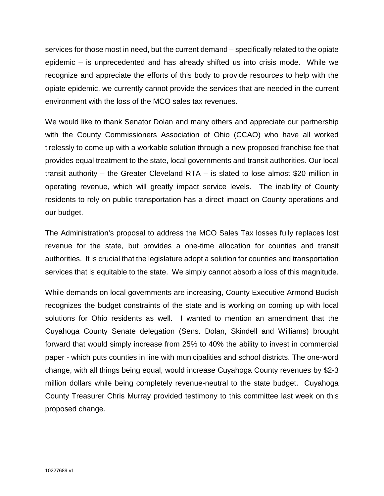services for those most in need, but the current demand – specifically related to the opiate epidemic – is unprecedented and has already shifted us into crisis mode. While we recognize and appreciate the efforts of this body to provide resources to help with the opiate epidemic, we currently cannot provide the services that are needed in the current environment with the loss of the MCO sales tax revenues.

We would like to thank Senator Dolan and many others and appreciate our partnership with the County Commissioners Association of Ohio (CCAO) who have all worked tirelessly to come up with a workable solution through a new proposed franchise fee that provides equal treatment to the state, local governments and transit authorities. Our local transit authority – the Greater Cleveland RTA – is slated to lose almost \$20 million in operating revenue, which will greatly impact service levels. The inability of County residents to rely on public transportation has a direct impact on County operations and our budget.

The Administration's proposal to address the MCO Sales Tax losses fully replaces lost revenue for the state, but provides a one-time allocation for counties and transit authorities. It is crucial that the legislature adopt a solution for counties and transportation services that is equitable to the state. We simply cannot absorb a loss of this magnitude.

While demands on local governments are increasing, County Executive Armond Budish recognizes the budget constraints of the state and is working on coming up with local solutions for Ohio residents as well. I wanted to mention an amendment that the Cuyahoga County Senate delegation (Sens. Dolan, Skindell and Williams) brought forward that would simply increase from 25% to 40% the ability to invest in commercial paper - which puts counties in line with municipalities and school districts. The one-word change, with all things being equal, would increase Cuyahoga County revenues by \$2-3 million dollars while being completely revenue-neutral to the state budget. Cuyahoga County Treasurer Chris Murray provided testimony to this committee last week on this proposed change.